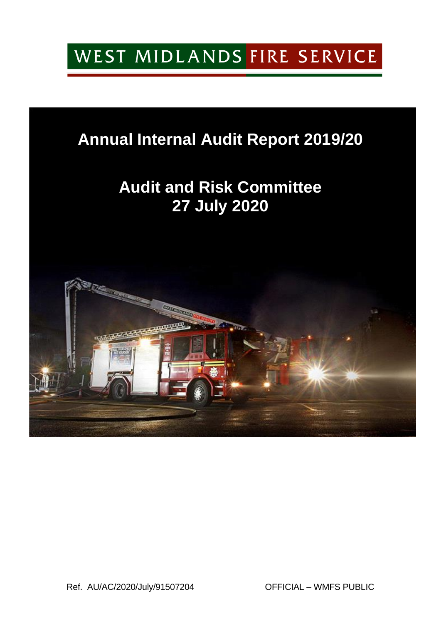# WEST MIDLANDS FIRE SERVICE

### **Annual Internal Audit Report 2019/20**

## **Audit and Risk Committee 27 July 2020**

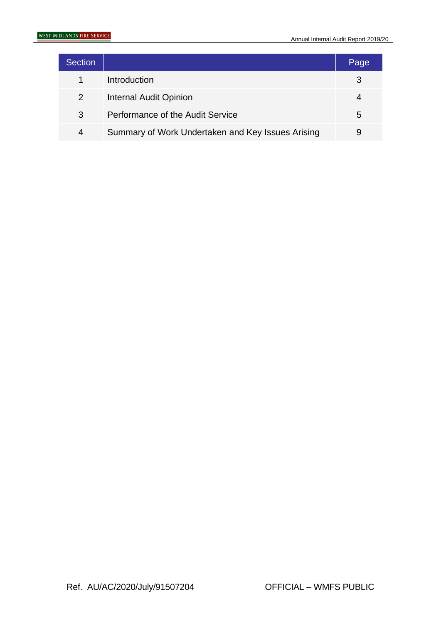| <b>Section</b> |                                                   | Page |
|----------------|---------------------------------------------------|------|
|                | Introduction                                      |      |
| $\overline{2}$ | <b>Internal Audit Opinion</b>                     |      |
| 3              | Performance of the Audit Service                  | 5    |
| 4              | Summary of Work Undertaken and Key Issues Arising |      |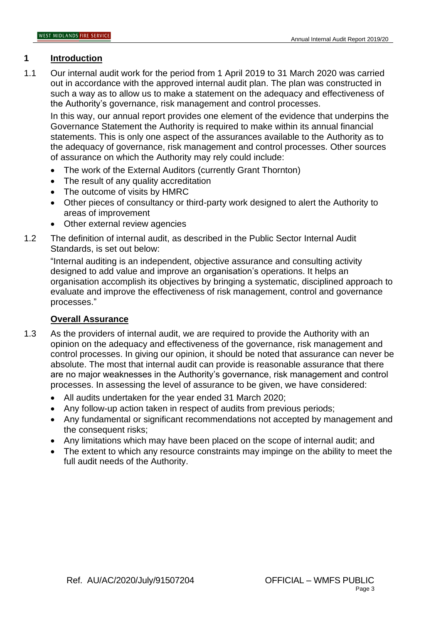#### **1 Introduction**

1.1 Our internal audit work for the period from 1 April 2019 to 31 March 2020 was carried out in accordance with the approved internal audit plan. The plan was constructed in such a way as to allow us to make a statement on the adequacy and effectiveness of the Authority's governance, risk management and control processes.

In this way, our annual report provides one element of the evidence that underpins the Governance Statement the Authority is required to make within its annual financial statements. This is only one aspect of the assurances available to the Authority as to the adequacy of governance, risk management and control processes. Other sources of assurance on which the Authority may rely could include:

- The work of the External Auditors (currently Grant Thornton)
- The result of any quality accreditation
- The outcome of visits by HMRC
- Other pieces of consultancy or third-party work designed to alert the Authority to areas of improvement
- Other external review agencies
- 1.2 The definition of internal audit, as described in the Public Sector Internal Audit Standards, is set out below:

"Internal auditing is an independent, objective assurance and consulting activity designed to add value and improve an organisation's operations. It helps an organisation accomplish its objectives by bringing a systematic, disciplined approach to evaluate and improve the effectiveness of risk management, control and governance processes."

#### **Overall Assurance**

- 1.3 As the providers of internal audit, we are required to provide the Authority with an opinion on the adequacy and effectiveness of the governance, risk management and control processes. In giving our opinion, it should be noted that assurance can never be absolute. The most that internal audit can provide is reasonable assurance that there are no major weaknesses in the Authority's governance, risk management and control processes. In assessing the level of assurance to be given, we have considered:
	- All audits undertaken for the year ended 31 March 2020;
	- Any follow-up action taken in respect of audits from previous periods;
	- Any fundamental or significant recommendations not accepted by management and the consequent risks;
	- Any limitations which may have been placed on the scope of internal audit; and
	- The extent to which any resource constraints may impinge on the ability to meet the full audit needs of the Authority.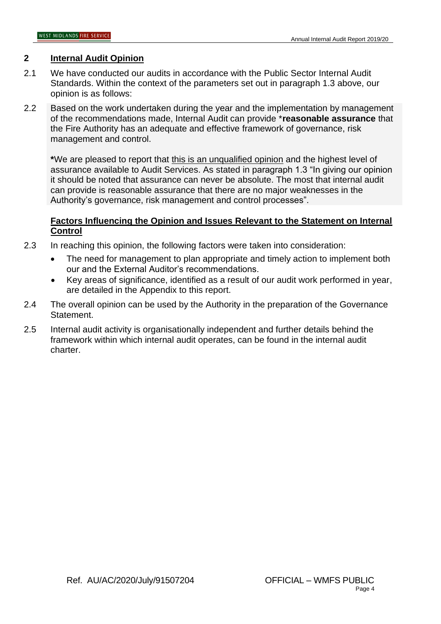#### **2 Internal Audit Opinion**

- 2.1 We have conducted our audits in accordance with the Public Sector Internal Audit Standards. Within the context of the parameters set out in paragraph 1.3 above, our opinion is as follows:
- 2.2 Based on the work undertaken during the year and the implementation by management of the recommendations made, Internal Audit can provide \***reasonable assurance** that the Fire Authority has an adequate and effective framework of governance, risk management and control.

**\***We are pleased to report that this is an unqualified opinion and the highest level of assurance available to Audit Services. As stated in paragraph 1.3 "In giving our opinion it should be noted that assurance can never be absolute. The most that internal audit can provide is reasonable assurance that there are no major weaknesses in the Authority's governance, risk management and control processes".

#### **Factors Influencing the Opinion and Issues Relevant to the Statement on Internal Control**

- 2.3 In reaching this opinion, the following factors were taken into consideration:
	- The need for management to plan appropriate and timely action to implement both our and the External Auditor's recommendations.
	- Key areas of significance, identified as a result of our audit work performed in year, are detailed in the Appendix to this report.
- 2.4 The overall opinion can be used by the Authority in the preparation of the Governance Statement.
- 2.5 Internal audit activity is organisationally independent and further details behind the framework within which internal audit operates, can be found in the internal audit charter.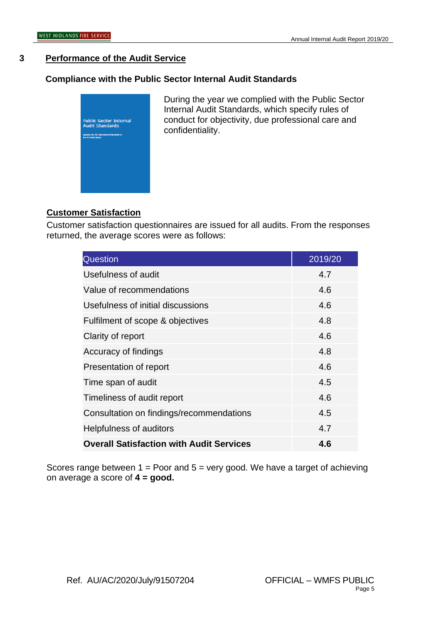#### **3 Performance of the Audit Service**

#### **Compliance with the Public Sector Internal Audit Standards**



During the year we complied with the Public Sector Internal Audit Standards, which specify rules of conduct for objectivity, due professional care and confidentiality.

#### **Customer Satisfaction**

Customer satisfaction questionnaires are issued for all audits. From the responses returned, the average scores were as follows:

| <b>Question</b>                                 | 2019/20 |
|-------------------------------------------------|---------|
| Usefulness of audit                             | 4.7     |
| Value of recommendations                        | 4.6     |
| Usefulness of initial discussions               | 4.6     |
| Fulfilment of scope & objectives                | 4.8     |
| Clarity of report                               | 4.6     |
| Accuracy of findings                            | 4.8     |
| Presentation of report                          | 4.6     |
| Time span of audit                              | 4.5     |
| Timeliness of audit report                      | 4.6     |
| Consultation on findings/recommendations        | 4.5     |
| Helpfulness of auditors                         | 4.7     |
| <b>Overall Satisfaction with Audit Services</b> | 4.6     |

Scores range between  $1 =$  Poor and  $5 =$  very good. We have a target of achieving on average a score of **4 = good.**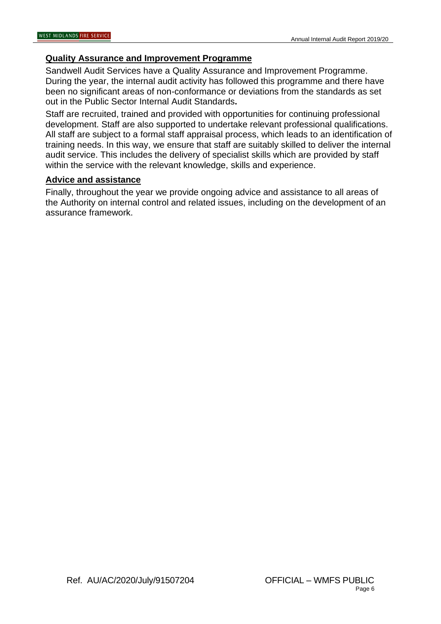#### **Quality Assurance and Improvement Programme**

Sandwell Audit Services have a Quality Assurance and Improvement Programme. During the year, the internal audit activity has followed this programme and there have been no significant areas of non-conformance or deviations from the standards as set out in the Public Sector Internal Audit Standards**.**

Staff are recruited, trained and provided with opportunities for continuing professional development. Staff are also supported to undertake relevant professional qualifications. All staff are subject to a formal staff appraisal process, which leads to an identification of training needs. In this way, we ensure that staff are suitably skilled to deliver the internal audit service. This includes the delivery of specialist skills which are provided by staff within the service with the relevant knowledge, skills and experience.

#### **Advice and assistance**

Finally, throughout the year we provide ongoing advice and assistance to all areas of the Authority on internal control and related issues, including on the development of an assurance framework.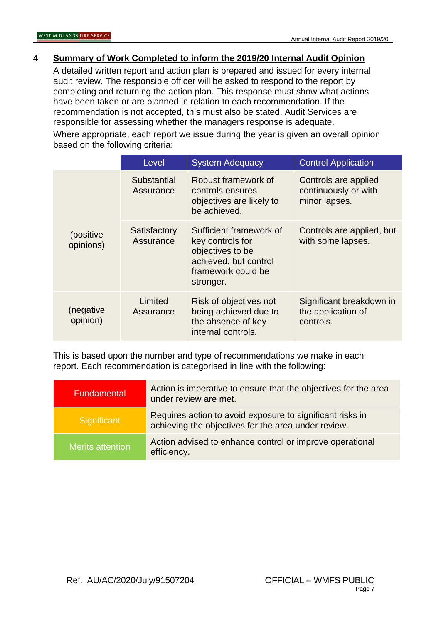#### **4 Summary of Work Completed to inform the 2019/20 Internal Audit Opinion**

A detailed written report and action plan is prepared and issued for every internal audit review. The responsible officer will be asked to respond to the report by completing and returning the action plan. This response must show what actions have been taken or are planned in relation to each recommendation. If the recommendation is not accepted, this must also be stated. Audit Services are responsible for assessing whether the managers response is adequate.

Where appropriate, each report we issue during the year is given an overall opinion based on the following criteria:

|                         | Level                     | <b>System Adequacy</b>                                                                                                      | <b>Control Application</b>                                    |
|-------------------------|---------------------------|-----------------------------------------------------------------------------------------------------------------------------|---------------------------------------------------------------|
|                         | Substantial<br>Assurance  | Robust framework of<br>controls ensures<br>objectives are likely to<br>be achieved.                                         | Controls are applied<br>continuously or with<br>minor lapses. |
| (positive)<br>opinions) | Satisfactory<br>Assurance | Sufficient framework of<br>key controls for<br>objectives to be<br>achieved, but control<br>framework could be<br>stronger. | Controls are applied, but<br>with some lapses.                |
| (negative<br>opinion)   | Limited<br>Assurance      | Risk of objectives not<br>being achieved due to<br>the absence of key<br>internal controls.                                 | Significant breakdown in<br>the application of<br>controls.   |

This is based upon the number and type of recommendations we make in each report. Each recommendation is categorised in line with the following:

| Fundamental      | Action is imperative to ensure that the objectives for the area<br>under review are met.                         |
|------------------|------------------------------------------------------------------------------------------------------------------|
| Significant      | Requires action to avoid exposure to significant risks in<br>achieving the objectives for the area under review. |
| Merits attention | Action advised to enhance control or improve operational<br>efficiency.                                          |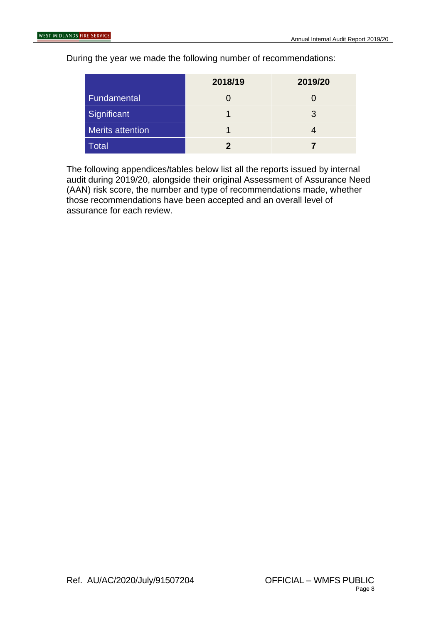During the year we made the following number of recommendations:

|                         | 2018/19 | 2019/20 |
|-------------------------|---------|---------|
| Fundamental             |         |         |
| Significant             |         | 3       |
| <b>Merits attention</b> |         |         |
| Total                   |         |         |

The following appendices/tables below list all the reports issued by internal audit during 2019/20, alongside their original Assessment of Assurance Need (AAN) risk score, the number and type of recommendations made, whether those recommendations have been accepted and an overall level of assurance for each review.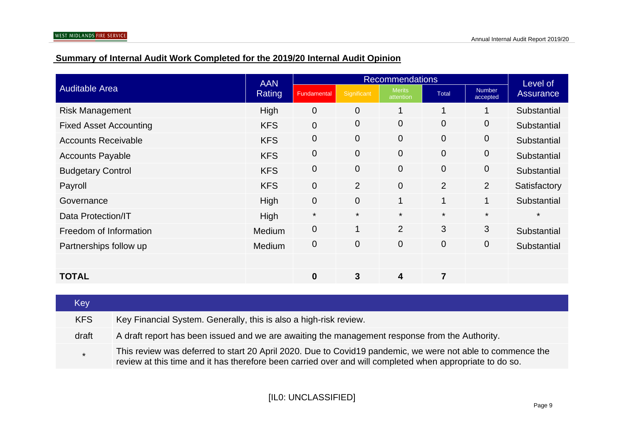### **Summary of Internal Audit Work Completed for the 2019/20 Internal Audit Opinion**

|                               | <b>AAN</b>    | <b>Recommendations</b> |                |                            |                | Level of                  |              |
|-------------------------------|---------------|------------------------|----------------|----------------------------|----------------|---------------------------|--------------|
| <b>Auditable Area</b>         | <b>Rating</b> | Fundamental            | Significant    | <b>Merits</b><br>attention | <b>Total</b>   | <b>Number</b><br>accepted | Assurance    |
| <b>Risk Management</b>        | High          | $\overline{0}$         | 0              |                            | 1              | 1                         | Substantial  |
| <b>Fixed Asset Accounting</b> | <b>KFS</b>    | $\overline{0}$         | 0              | $\overline{0}$             | $\mathbf{0}$   | 0                         | Substantial  |
| <b>Accounts Receivable</b>    | <b>KFS</b>    | $\overline{0}$         | 0              | $\mathbf 0$                | $\overline{0}$ | 0                         | Substantial  |
| <b>Accounts Payable</b>       | <b>KFS</b>    | $\overline{0}$         | 0              | $\overline{0}$             | $\overline{0}$ | $\mathbf 0$               | Substantial  |
| <b>Budgetary Control</b>      | <b>KFS</b>    | $\overline{0}$         | 0              | $\mathbf 0$                | $\mathbf{0}$   | 0                         | Substantial  |
| Payroll                       | <b>KFS</b>    | $\overline{0}$         | $\overline{2}$ | $\overline{0}$             | 2              | $\overline{2}$            | Satisfactory |
| Governance                    | High          | $\mathbf 0$            | $\overline{0}$ | $\overline{1}$             | $\mathbf 1$    | $\mathbf{1}$              | Substantial  |
| Data Protection/IT            | High          | $\star$                | $\star$        | $\star$                    | $\star$        | $\star$                   | $\star$      |
| Freedom of Information        | <b>Medium</b> | $\overline{0}$         | $\mathbf 1$    | $\overline{2}$             | 3              | 3                         | Substantial  |
| Partnerships follow up        | Medium        | $\overline{0}$         | 0              | $\mathbf 0$                | $\overline{0}$ | $\mathbf 0$               | Substantial  |
|                               |               |                        |                |                            |                |                           |              |
| <b>TOTAL</b>                  |               | $\mathbf 0$            | 3              | 4                          | $\overline{7}$ |                           |              |

| Key        |                                                                                                                                                                                                                        |
|------------|------------------------------------------------------------------------------------------------------------------------------------------------------------------------------------------------------------------------|
| <b>KFS</b> | Key Financial System. Generally, this is also a high-risk review.                                                                                                                                                      |
| draft      | A draft report has been issued and we are awaiting the management response from the Authority.                                                                                                                         |
| $\star$    | This review was deferred to start 20 April 2020. Due to Covid19 pandemic, we were not able to commence the<br>review at this time and it has therefore been carried over and will completed when appropriate to do so. |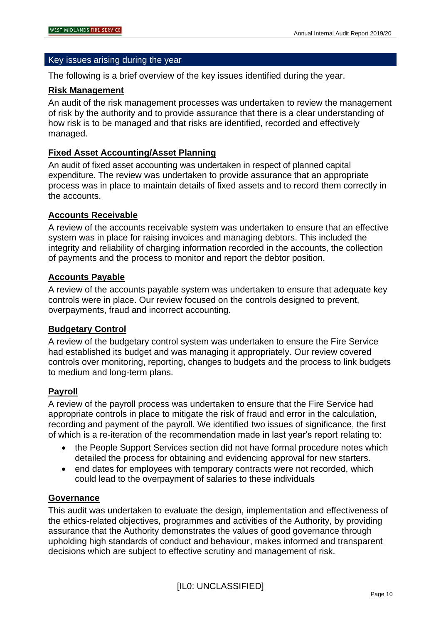#### Key issues arising during the year

The following is a brief overview of the key issues identified during the year.

#### **Risk Management**

An audit of the risk management processes was undertaken to review the management of risk by the authority and to provide assurance that there is a clear understanding of how risk is to be managed and that risks are identified, recorded and effectively managed.

#### **Fixed Asset Accounting/Asset Planning**

An audit of fixed asset accounting was undertaken in respect of planned capital expenditure. The review was undertaken to provide assurance that an appropriate process was in place to maintain details of fixed assets and to record them correctly in the accounts.

#### **Accounts Receivable**

A review of the accounts receivable system was undertaken to ensure that an effective system was in place for raising invoices and managing debtors. This included the integrity and reliability of charging information recorded in the accounts, the collection of payments and the process to monitor and report the debtor position.

#### **Accounts Payable**

A review of the accounts payable system was undertaken to ensure that adequate key controls were in place. Our review focused on the controls designed to prevent, overpayments, fraud and incorrect accounting.

#### **Budgetary Control**

A review of the budgetary control system was undertaken to ensure the Fire Service had established its budget and was managing it appropriately. Our review covered controls over monitoring, reporting, changes to budgets and the process to link budgets to medium and long-term plans.

#### **Payroll**

A review of the payroll process was undertaken to ensure that the Fire Service had appropriate controls in place to mitigate the risk of fraud and error in the calculation, recording and payment of the payroll. We identified two issues of significance, the first of which is a re-iteration of the recommendation made in last year's report relating to:

- the People Support Services section did not have formal procedure notes which detailed the process for obtaining and evidencing approval for new starters.
- end dates for employees with temporary contracts were not recorded, which could lead to the overpayment of salaries to these individuals

#### **Governance**

This audit was undertaken to evaluate the design, implementation and effectiveness of the ethics-related objectives, programmes and activities of the Authority, by providing assurance that the Authority demonstrates the values of good governance through upholding high standards of conduct and behaviour, makes informed and transparent decisions which are subject to effective scrutiny and management of risk.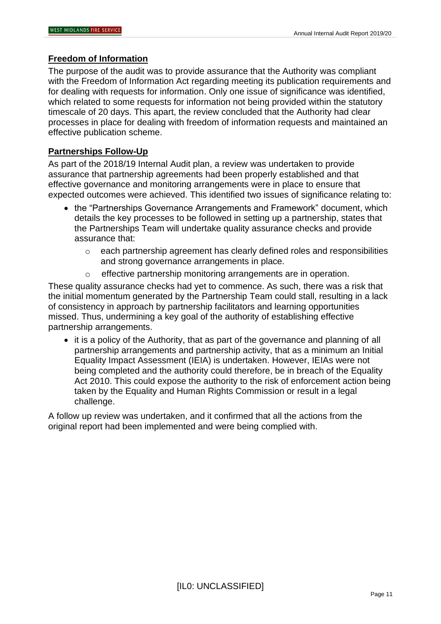#### **Freedom of Information**

The purpose of the audit was to provide assurance that the Authority was compliant with the Freedom of Information Act regarding meeting its publication requirements and for dealing with requests for information. Only one issue of significance was identified, which related to some requests for information not being provided within the statutory timescale of 20 days. This apart, the review concluded that the Authority had clear processes in place for dealing with freedom of information requests and maintained an effective publication scheme.

#### **Partnerships Follow-Up**

As part of the 2018/19 Internal Audit plan, a review was undertaken to provide assurance that partnership agreements had been properly established and that effective governance and monitoring arrangements were in place to ensure that expected outcomes were achieved. This identified two issues of significance relating to:

- the "Partnerships Governance Arrangements and Framework" document, which details the key processes to be followed in setting up a partnership, states that the Partnerships Team will undertake quality assurance checks and provide assurance that:
	- o each partnership agreement has clearly defined roles and responsibilities and strong governance arrangements in place.
	- o effective partnership monitoring arrangements are in operation.

These quality assurance checks had yet to commence. As such, there was a risk that the initial momentum generated by the Partnership Team could stall, resulting in a lack of consistency in approach by partnership facilitators and learning opportunities missed. Thus, undermining a key goal of the authority of establishing effective partnership arrangements.

• it is a policy of the Authority, that as part of the governance and planning of all partnership arrangements and partnership activity, that as a minimum an Initial Equality Impact Assessment (IEIA) is undertaken. However, IEIAs were not being completed and the authority could therefore, be in breach of the Equality Act 2010. This could expose the authority to the risk of enforcement action being taken by the Equality and Human Rights Commission or result in a legal challenge.

A follow up review was undertaken, and it confirmed that all the actions from the original report had been implemented and were being complied with.